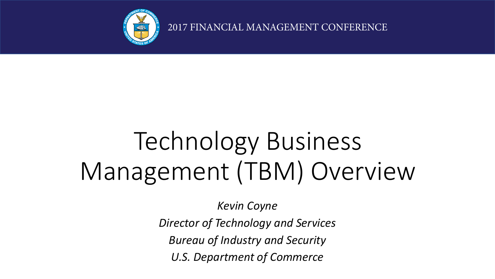

2017 FINANCIAL MANAGEMENT CONFERENCE

# Technology Business Management (TBM) Overview

*Kevin Coyne*

*Director of Technology and Services Bureau of Industry and Security U.S. Department of Commerce*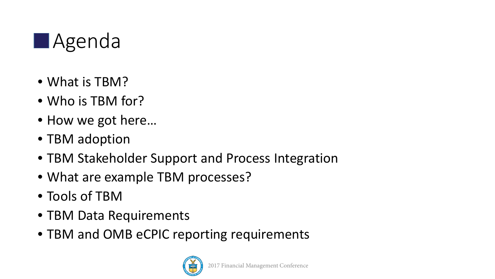

- What is TBM?
- Who is TBM for?
- How we got here...
- TBM adoption
- TBM Stakeholder Support and Process Integration
- What are example TBM processes?
- Tools of TBM
- TBM Data Requirements
- TBM and OMB eCPIC reporting requirements

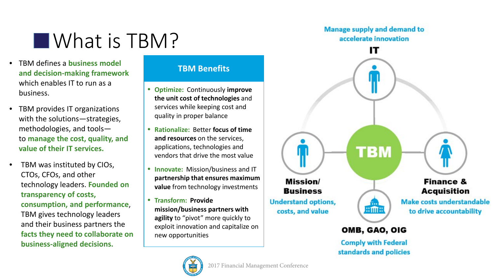### **NAT IS TBM?**

- TBM defines a **business model and decision-making framework**  which enables IT to run as a business.
- TBM provides IT organizations with the solutions—strategies, methodologies, and tools to **manage the cost, quality, and value of their IT services.**
- TBM was instituted by CIOs, CTOs, CFOs, and other technology leaders. **Founded on transparency of costs, consumption, and performance**, TBM gives technology leaders and their business partners the **facts they need to collaborate on business-aligned decisions.**

### **TBM Benefits**

- **Optimize:** Continuously **improve the unit cost of technologies** and services while keeping cost and quality in proper balance
- **Rationalize:** Better **focus of time and resources** on the services, applications, technologies and vendors that drive the most value
- **Innovate:** Mission/business and IT **partnership that ensures maximum value** from technology investments
- **Transform: Provide mission/business partners with agility** to "pivot" more quickly to exploit innovation and capitalize on new opportunities



**Comply with Federal** standards and policies

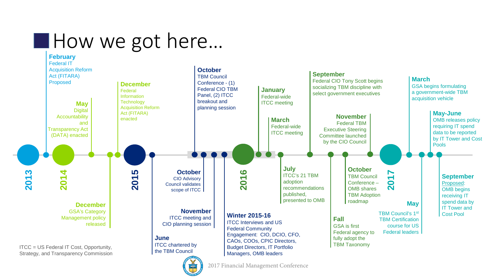### **How we got here...**





2017 Financial Management Conference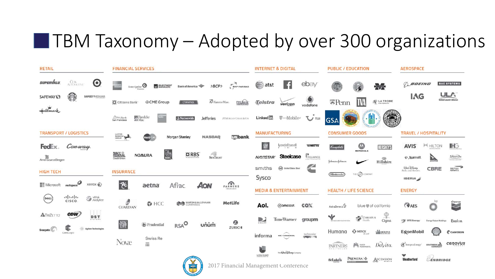### $\blacksquare$  TBM Taxonomy – Adopted by over 300 organizations

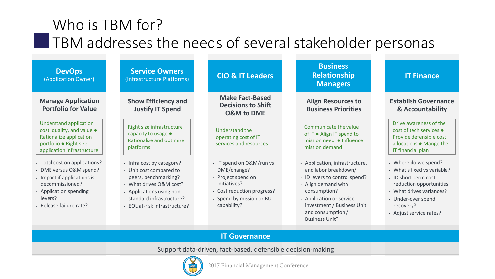### Who is TBM for? **TBM** addresses the needs of several stakeholder personas

| <b>DevOps</b><br>(Application Owner)                                                                                                                                       | <b>Service Owners</b><br>(Infrastructure Platforms)                                                                                                                                               | <b>CIO &amp; IT Leaders</b>                                                                                                                            | <b>Business</b><br><b>Relationship</b><br><b>Managers</b>                                                                                                                                                                              | <b>IT Finance</b>                                                                                                                                                                                |
|----------------------------------------------------------------------------------------------------------------------------------------------------------------------------|---------------------------------------------------------------------------------------------------------------------------------------------------------------------------------------------------|--------------------------------------------------------------------------------------------------------------------------------------------------------|----------------------------------------------------------------------------------------------------------------------------------------------------------------------------------------------------------------------------------------|--------------------------------------------------------------------------------------------------------------------------------------------------------------------------------------------------|
| <b>Manage Application</b><br><b>Portfolio for Value</b>                                                                                                                    | <b>Show Efficiency and</b><br><b>Justify IT Spend</b>                                                                                                                                             | <b>Make Fact-Based</b><br><b>Decisions to Shift</b><br><b>O&amp;M to DME</b>                                                                           | <b>Align Resources to</b><br><b>Business Priorities</b>                                                                                                                                                                                | <b>Establish Governance</b><br>& Accountability                                                                                                                                                  |
| <b>Understand application</b><br>cost, quality, and value .<br>Rationalize application<br>portfolio · Right size<br>application infrastructure                             | Right size infrastructure<br>capacity to usage •<br>Rationalize and optimize<br>platforms                                                                                                         | Understand the<br>operating cost of IT<br>services and resources                                                                                       | Communicate the value<br>of IT . Align IT spend to<br>mission need • Influence<br>mission demand                                                                                                                                       | Drive awareness of the<br>cost of tech services •<br>Provide defensible cost<br>allocations . Mange the<br>IT financial plan                                                                     |
| • Total cost on applications?<br>• DME versus O&M spend?<br>• Impact if applications is<br>decommissioned?<br>• Application spending<br>levers?<br>· Release failure rate? | • Infra cost by category?<br>• Unit cost compared to<br>peers, benchmarking?<br>• What drives O&M cost?<br>• Applications using non-<br>standard infrastructure?<br>· EOL at-risk infrastructure? | • IT spend on O&M/run vs<br>DME/change?<br>• Project spend on<br>initiatives?<br>• Cost reduction progress?<br>• Spend by mission or BU<br>capability? | • Application, infrastructure,<br>and labor breakdown/<br>• ID levers to control spend?<br>• Align demand with<br>consumption?<br>• Application or service<br>investment / Business Unit<br>and consumption /<br><b>Business Unit?</b> | • Where do we spend?<br>• What's fixed vs variable?<br>• ID short-term cost<br>reduction opportunities<br>• What drives variances?<br>• Under-over spend<br>recovery?<br>• Adjust service rates? |
|                                                                                                                                                                            |                                                                                                                                                                                                   | <b>IT Governance</b>                                                                                                                                   |                                                                                                                                                                                                                                        |                                                                                                                                                                                                  |

Support data-driven, fact-based, defensible decision-making

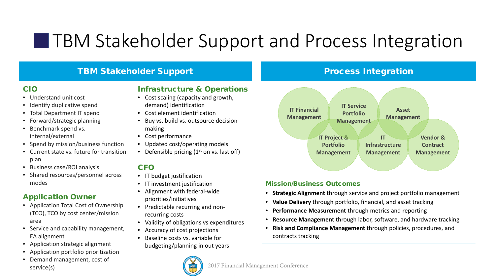### **THEM Stakeholder Support and Process Integration**

### TBM Stakeholder Support

#### CIO

- Understand unit cost
- Identify duplicative spend
- Total Department IT spend
- Forward/strategic planning
- Benchmark spend vs. internal/external
- Spend by mission/business function
- Current state vs. future for transition plan
- Business case/ROI analysis
- Shared resources/personnel across modes

### Application Owner

- Application Total Cost of Ownership (TCO), TCO by cost center/mission area
- Service and capability management, EA alignment
- Application strategic alignment
- Application portfolio prioritization
- Demand management, cost of service(s)

#### Infrastructure & Operations

- Cost scaling (capacity and growth, demand) identification
- Cost element identification
- Buy vs. build vs. outsource decisionmaking
- Cost performance
- Updated cost/operating models
- Defensible pricing  $(1<sup>st</sup>$  on vs. last off)

#### **CFO**

- IT budget justification
- IT investment justification
- Alignment with federal-wide priorities/initiatives
- Predictable recurring and nonrecurring costs
- Validity of obligations vs expenditures
- Accuracy of cost projections
- Baseline costs vs. variable for budgeting/planning in out years

#### 2017 Financial Management Conference

### Process Integration



#### Mission/Business Outcomes

- **Strategic Alignment** through service and project portfolio management
- **Value Delivery** through portfolio, financial, and asset tracking
- **Performance Measurement** through metrics and reporting
- **Resource Management** through labor, software, and hardware tracking
- **Risk and Compliance Management** through policies, procedures, and contracts tracking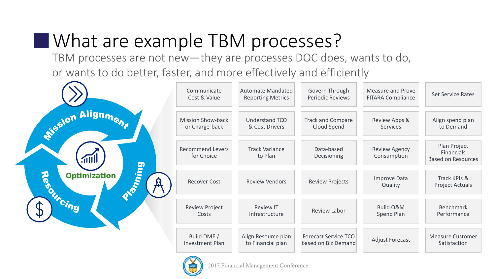### **Notable 20 a.m.** TBM processes?

TBM processes are not new—they are processes DOC does, wants to do, or wants to do better, faster, and more effectively and efficiently

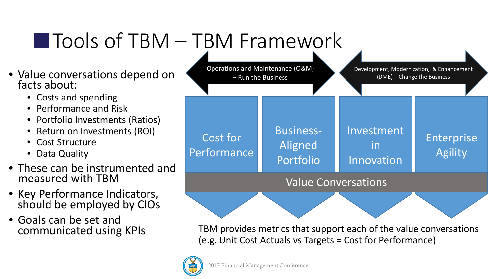## Tools of TBM – TBM Framework

- Value conversations depend on facts about:
	- Costs and spending
	- Performance and Risk
	- Portfolio Investments (Ratios)
	- Return on Investments (ROI)
	- **Cost Structure**
	- Data Quality
- These can be instrumented and measured with TBM
- Key Performance Indicators, should be employed by CIOs
- Goals can be set and<br>communicated using KPIs



TBM provides metrics that support each of the value conversations (e.g. Unit Cost Actuals vs Targets = Cost for Performance)

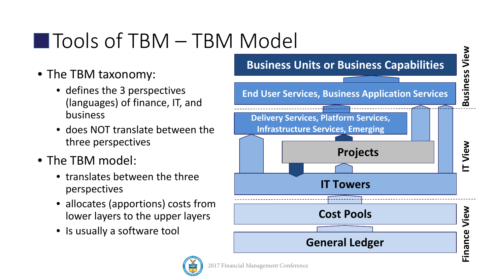## Tools of TBM – TBM Model

- The TBM taxonomy:
	- defines the 3 perspectives (languages) of finance, IT, and business
	- does NOT translate between the three perspectives
- The TBM model:
	- translates between the three perspectives
	- allocates (apportions) costs from lower layers to the upper layers
	- Is usually a software tool

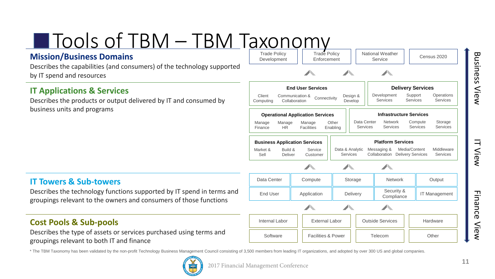**IT View** 

Finance View

#### Tools of TBM – TBM Taxonomy Trade Policy Trade Policy

### **Mission/Business Domains**

Describes the capabilities (and consumers) of the technology supported by IT spend and resources

### **IT Applications & Services**

Describes the products or output delivered by IT and consumed by business units and programs

### **IT Towers & Sub-towers**

Describes the technology functions supported by IT spend in terms and groupings relevant to the owners and consumers of those functions

### **Cost Pools & Sub-pools**

Describes the type of assets or services purchased using terms and groupings relevant to both IT and finance



National Weather

Service | Census 2020

**Enforcement** 



Development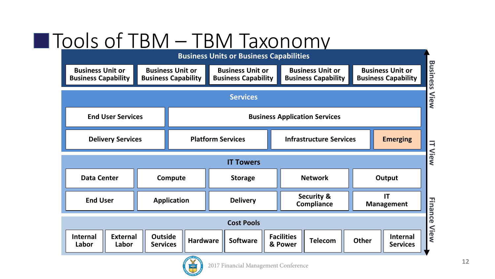## Tools of TBM – TBM Taxonomy



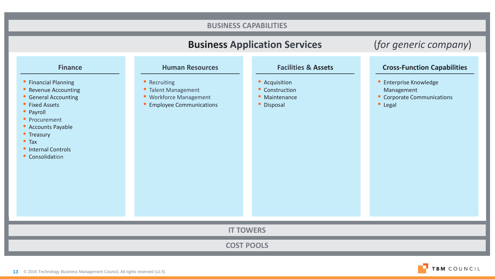#### **Business Application Services** (*for generic company*) **COST POOLS BUSINESS CAPABILITIES IT TOWERS Finance Human Resources** Financial Planning • Revenue Accounting **General Accounting** • Fixed Assets • Payroll • Procurement Accounts Payable • Treasury Tax • Internal Controls • Consolidation • Recruiting • Talent Management Workforce Management Employee Communications **Facilities & Assets Cross-Function Capabilities** • Acquisition • Construction **Maintenance** • Disposal **•** Enterprise Knowledge Management • Corporate Communications • Legal

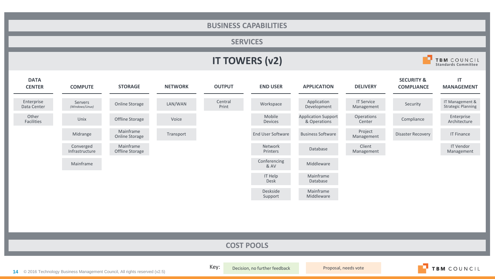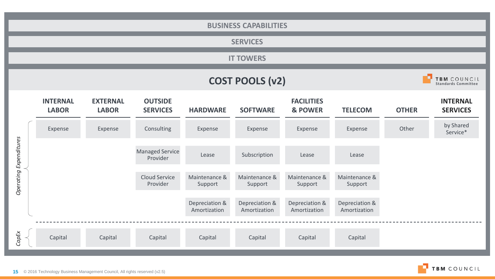|                               | <b>BUSINESS CAPABILITIES</b>                                        |                                 |                                    |                                |                                |                                |                                |              |                                    |
|-------------------------------|---------------------------------------------------------------------|---------------------------------|------------------------------------|--------------------------------|--------------------------------|--------------------------------|--------------------------------|--------------|------------------------------------|
|                               |                                                                     |                                 |                                    |                                | <b>SERVICES</b>                |                                |                                |              |                                    |
|                               |                                                                     |                                 |                                    |                                | <b>IT TOWERS</b>               |                                |                                |              |                                    |
|                               | TBM COUNCIL<br><b>COST POOLS (v2)</b><br><b>Standards Committee</b> |                                 |                                    |                                |                                |                                |                                |              |                                    |
|                               | <b>INTERNAL</b><br><b>LABOR</b>                                     | <b>EXTERNAL</b><br><b>LABOR</b> | <b>OUTSIDE</b><br><b>SERVICES</b>  | <b>HARDWARE</b>                | <b>SOFTWARE</b>                | <b>FACILITIES</b><br>& POWER   | <b>TELECOM</b>                 | <b>OTHER</b> | <b>INTERNAL</b><br><b>SERVICES</b> |
|                               | Expense                                                             | Expense                         | Consulting                         | Expense                        | Expense                        | Expense                        | Expense                        | Other        | by Shared<br>Service*              |
| <b>Operating Expenditures</b> |                                                                     |                                 | <b>Managed Service</b><br>Provider | Lease                          | Subscription                   | Lease                          | Lease                          |              |                                    |
|                               |                                                                     |                                 | <b>Cloud Service</b><br>Provider   | Maintenance &<br>Support       | Maintenance &<br>Support       | Maintenance &<br>Support       | Maintenance &<br>Support       |              |                                    |
|                               |                                                                     |                                 |                                    | Depreciation &<br>Amortization | Depreciation &<br>Amortization | Depreciation &<br>Amortization | Depreciation &<br>Amortization |              |                                    |
| CapEx                         | Capital                                                             | Capital                         | Capital                            | Capital                        | Capital                        | Capital                        | Capital                        |              |                                    |

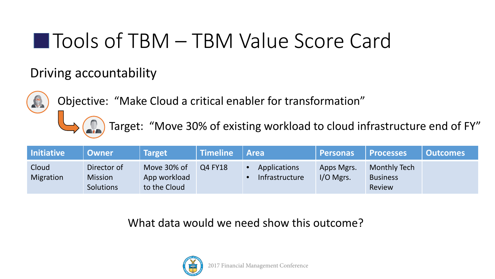### ■ Tools of TBM – TBM Value Score Card

### Driving accountability



Objective: "Make Cloud a critical enabler for transformation"

Target: "Move 30% of existing workload to cloud infrastructure end of FY"

| <b>Initiative</b>  | <b>Owner</b>                                      | <b>Target</b>                               | Timeline | <b>Area</b>                    | Personas                  | <b>Processes</b>                                 | <b>Outcomes</b> |
|--------------------|---------------------------------------------------|---------------------------------------------|----------|--------------------------------|---------------------------|--------------------------------------------------|-----------------|
| Cloud<br>Migration | Director of<br><b>Mission</b><br><b>Solutions</b> | Move 30% of<br>App workload<br>to the Cloud | Q4 FY18  | Applications<br>Infrastructure | Apps Mgrs.<br>$I/O$ Mgrs. | Monthly Tech<br><b>Business</b><br><b>Review</b> |                 |

What data would we need show this outcome?

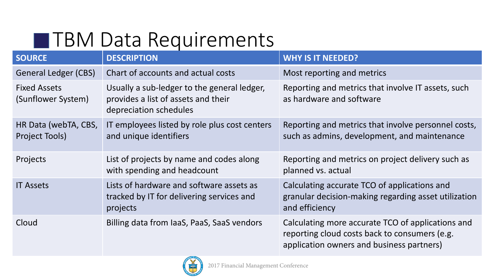### **THM Data Requirements**

| <b>SOURCE</b>                             | <b>DESCRIPTION</b>                                                                                           | <b>WHY IS IT NEEDED?</b>                                                                                                                        |
|-------------------------------------------|--------------------------------------------------------------------------------------------------------------|-------------------------------------------------------------------------------------------------------------------------------------------------|
| <b>General Ledger (CBS)</b>               | Chart of accounts and actual costs                                                                           | Most reporting and metrics                                                                                                                      |
| <b>Fixed Assets</b><br>(Sunflower System) | Usually a sub-ledger to the general ledger,<br>provides a list of assets and their<br>depreciation schedules | Reporting and metrics that involve IT assets, such<br>as hardware and software                                                                  |
| HR Data (webTA, CBS,<br>Project Tools)    | IT employees listed by role plus cost centers<br>and unique identifiers                                      | Reporting and metrics that involve personnel costs,<br>such as admins, development, and maintenance                                             |
| Projects                                  | List of projects by name and codes along<br>with spending and headcount                                      | Reporting and metrics on project delivery such as<br>planned vs. actual                                                                         |
| <b>IT Assets</b>                          | Lists of hardware and software assets as<br>tracked by IT for delivering services and<br>projects            | Calculating accurate TCO of applications and<br>granular decision-making regarding asset utilization<br>and efficiency                          |
| Cloud                                     | Billing data from laaS, PaaS, SaaS vendors                                                                   | Calculating more accurate TCO of applications and<br>reporting cloud costs back to consumers (e.g.<br>application owners and business partners) |

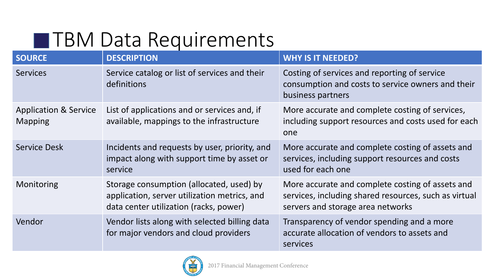### **THM Data Requirements**

| <b>SOURCE</b>                                      | <b>DESCRIPTION</b>                                                                                                                 | <b>WHY IS IT NEEDED?</b>                                                                                                                       |
|----------------------------------------------------|------------------------------------------------------------------------------------------------------------------------------------|------------------------------------------------------------------------------------------------------------------------------------------------|
| <b>Services</b>                                    | Service catalog or list of services and their<br>definitions                                                                       | Costing of services and reporting of service<br>consumption and costs to service owners and their<br>business partners                         |
| <b>Application &amp; Service</b><br><b>Mapping</b> | List of applications and or services and, if<br>available, mappings to the infrastructure                                          | More accurate and complete costing of services,<br>including support resources and costs used for each<br>one                                  |
| <b>Service Desk</b>                                | Incidents and requests by user, priority, and<br>impact along with support time by asset or<br>service                             | More accurate and complete costing of assets and<br>services, including support resources and costs<br>used for each one                       |
| Monitoring                                         | Storage consumption (allocated, used) by<br>application, server utilization metrics, and<br>data center utilization (racks, power) | More accurate and complete costing of assets and<br>services, including shared resources, such as virtual<br>servers and storage area networks |
| Vendor                                             | Vendor lists along with selected billing data<br>for major vendors and cloud providers                                             | Transparency of vendor spending and a more<br>accurate allocation of vendors to assets and<br>services                                         |

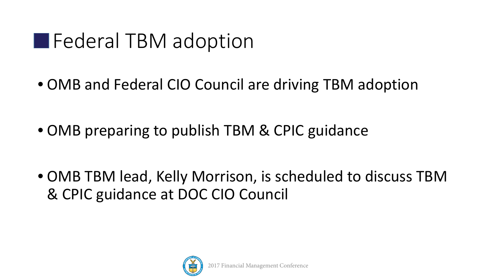### **Federal TBM adoption**

• OMB and Federal CIO Council are driving TBM adoption

• OMB preparing to publish TBM & CPIC guidance

• OMB TBM lead, Kelly Morrison, is scheduled to discuss TBM & CPIC guidance at DOC CIO Council

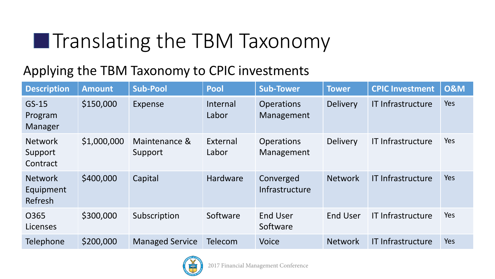## **The TBM Taxonomy**

### Applying the TBM Taxonomy to CPIC investments

| <b>Description</b>                     | <b>Amount</b> | Sub-Pool                 | <b>Pool</b>       | <b>Sub-Tower</b>                | <b>Tower</b>    | <b>CPIC Investment</b>   | <b>0&amp;M</b> |
|----------------------------------------|---------------|--------------------------|-------------------|---------------------------------|-----------------|--------------------------|----------------|
| $GS-15$<br>Program<br>Manager          | \$150,000     | Expense                  | Internal<br>Labor | <b>Operations</b><br>Management | <b>Delivery</b> | IT Infrastructure        | Yes            |
| <b>Network</b><br>Support<br>Contract  | \$1,000,000   | Maintenance &<br>Support | External<br>Labor | <b>Operations</b><br>Management | <b>Delivery</b> | <b>IT Infrastructure</b> | Yes            |
| <b>Network</b><br>Equipment<br>Refresh | \$400,000     | Capital                  | <b>Hardware</b>   | Converged<br>Infrastructure     | <b>Network</b>  | <b>IT Infrastructure</b> | Yes            |
| 0365<br>Licenses                       | \$300,000     | Subscription             | Software          | <b>End User</b><br>Software     | <b>End User</b> | IT Infrastructure        | Yes            |
| Telephone                              | \$200,000     | <b>Managed Service</b>   | <b>Telecom</b>    | <b>Voice</b>                    | <b>Network</b>  | <b>IT Infrastructure</b> | Yes            |

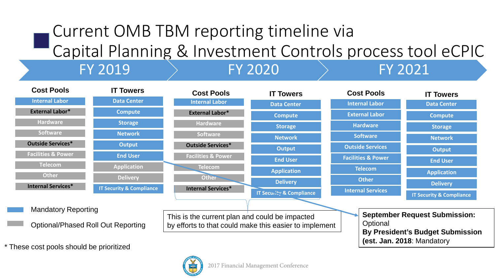### Current OMB TBM reporting timeline via Capital Planning & Investment Controls process tool eCPIC FY 2019 FY 2020 FY 2021

#### **IT Security & Compliance End User Output Application Delivery External Labor\* Internal Labor Outside Services\* Software Hardware Telecom Other Facilities & Power Internal Services\* Cost Pools IT Security & Compliance Network End User Output Application Delivery Data Center External Labor\* Internal Labor Outside Services\* Software Hardware Telecom Other Facilities & Power Internal Services\* Compute Storage Cost Pools IT Towers External Labor Internal Labor Outside Services Software Hardware Telecom Other Facilities & Power Internal Services Cost Pools Network Data Center Compute Storage IT Towers Network End User Output Application Delivery Data Center Compute Storage IT Towers IT Security & Compliance** This is the current plan and could be impacted by efforts to that could make this easier to implement Mandatory Reporting Optional/Phased Roll Out Reporting **September Request Submission: Optional By President's Budget Submission (est. Jan. 2018**: Mandatory

\* These cost pools should be prioritized

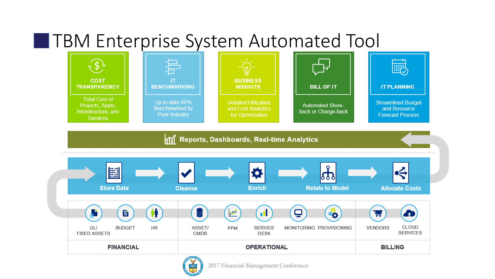### **THM Enterprise System Automated Tool**



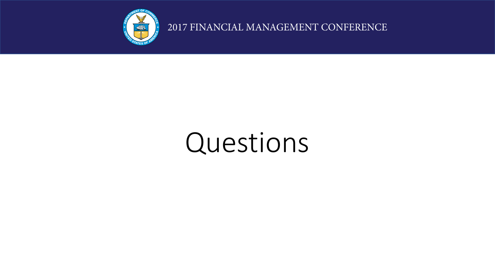

2017 FINANCIAL MANAGEMENT CONFERENCE

# Questions